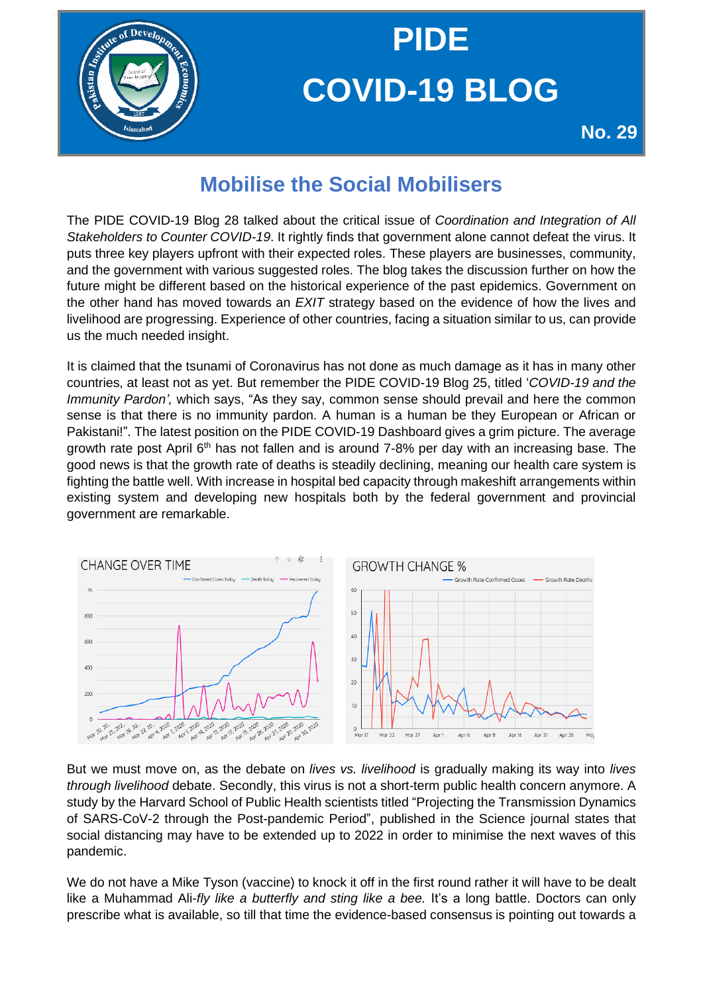

## **PIDE COVID-19 BLOG**

## **Mobilise the Social Mobilisers**

The PIDE COVID-19 Blog 28 talked about the critical issue of *Coordination and Integration of All Stakeholders to Counter COVID-19*. It rightly finds that government alone cannot defeat the virus. It puts three key players upfront with their expected roles. These players are businesses, community, and the government with various suggested roles. The blog takes the discussion further on how the future might be different based on the historical experience of the past epidemics. Government on the other hand has moved towards an *EXIT* strategy based on the evidence of how the lives and livelihood are progressing. Experience of other countries, facing a situation similar to us, can provide us the much needed insight.

It is claimed that the tsunami of Coronavirus has not done as much damage as it has in many other countries, at least not as yet. But remember the PIDE COVID-19 Blog 25, titled '*COVID-19 and the Immunity Pardon',* which says, "As they say, common sense should prevail and here the common sense is that there is no immunity pardon. A human is a human be they European or African or Pakistani!". The latest position on the PIDE COVID-19 Dashboard gives a grim picture. The average growth rate post April 6<sup>th</sup> has not fallen and is around 7-8% per day with an increasing base. The good news is that the growth rate of deaths is steadily declining, meaning our health care system is fighting the battle well. With increase in hospital bed capacity through makeshift arrangements within existing system and developing new hospitals both by the federal government and provincial government are remarkable.



But we must move on, as the debate on *lives vs. livelihood* is gradually making its way into *lives through livelihood* debate. Secondly, this virus is not a short-term public health concern anymore. A study by the Harvard School of Public Health scientists titled "Projecting the Transmission Dynamics of SARS-CoV-2 through the Post-pandemic Period", published in the Science journal states that social distancing may have to be extended up to 2022 in order to minimise the next waves of this pandemic.

We do not have a Mike Tyson (vaccine) to knock it off in the first round rather it will have to be dealt like a Muhammad Ali-*fly like a butterfly and sting like a bee.* It's a long battle. Doctors can only prescribe what is available, so till that time the evidence-based consensus is pointing out towards a